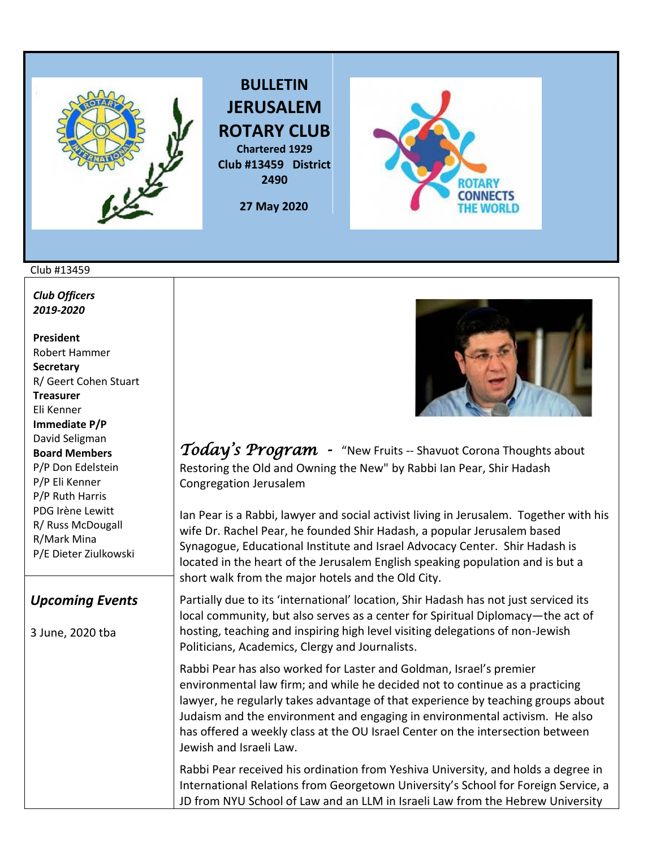

**BULLETIN JERUSALEM ROTARY CLUB Chartered 1929**

**Club #13459 District 2490**

 **27 May 2020** 



#### Club #13459

*Club Officers 2019-2020*

**President**  Robert Hammer **Secretary**  R/ Geert Cohen Stuart **Treasurer**  Eli Kenner **Immediate P/P**  David Seligman **Board Members**  P/P Don Edelstein P/P Eli Kenner P/P Ruth Harris PDG Irène Lewitt R/ Russ McDougall R/Mark Mina P/E Dieter Ziulkowski

## *Upcoming Events*

3 June, 2020 tba



*Today's Program -* "New Fruits -- Shavuot Corona Thoughts about Restoring the Old and Owning the New" by Rabbi Ian Pear, Shir Hadash Congregation Jerusalem

Ian Pear is a Rabbi, lawyer and social activist living in Jerusalem. Together with his wife Dr. Rachel Pear, he founded Shir Hadash, a popular Jerusalem based Synagogue, Educational Institute and Israel Advocacy Center. Shir Hadash is located in the heart of the Jerusalem English speaking population and is but a short walk from the major hotels and the Old City.

Partially due to its 'international' location, Shir Hadash has not just serviced its local community, but also serves as a center for Spiritual Diplomacy—the act of hosting, teaching and inspiring high level visiting delegations of non-Jewish Politicians, Academics, Clergy and Journalists.

Rabbi Pear has also worked for Laster and Goldman, Israel's premier environmental law firm; and while he decided not to continue as a practicing lawyer, he regularly takes advantage of that experience by teaching groups about Judaism and the environment and engaging in environmental activism. He also has offered a weekly class at the OU Israel Center on the intersection between Jewish and Israeli Law.

Rabbi Pear received his ordination from Yeshiva University, and holds a degree in International Relations from Georgetown University's School for Foreign Service, a JD from NYU School of Law and an LLM in Israeli Law from the Hebrew University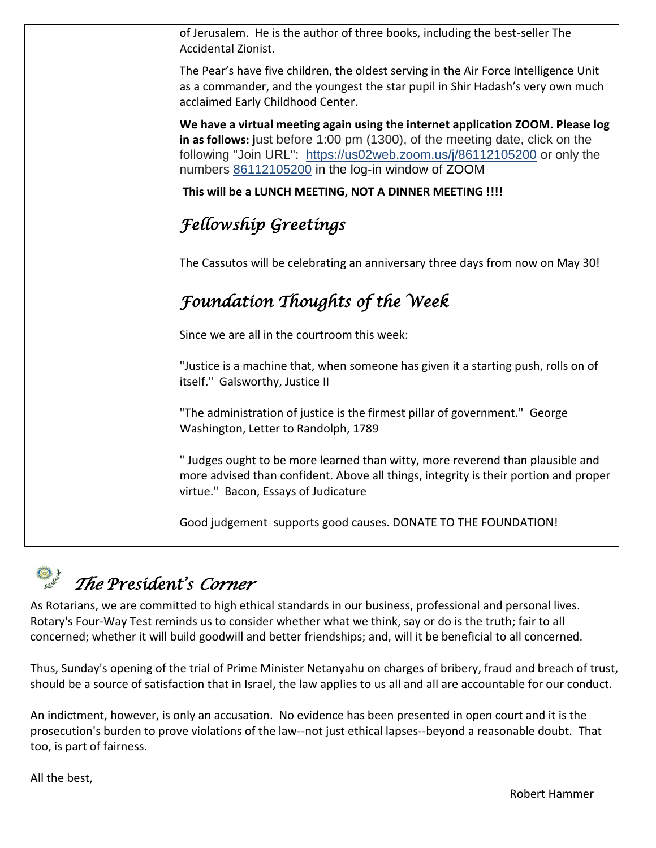| of Jerusalem. He is the author of three books, including the best-seller The<br>Accidental Zionist.                                                                                                                                                                                            |
|------------------------------------------------------------------------------------------------------------------------------------------------------------------------------------------------------------------------------------------------------------------------------------------------|
| The Pear's have five children, the oldest serving in the Air Force Intelligence Unit<br>as a commander, and the youngest the star pupil in Shir Hadash's very own much<br>acclaimed Early Childhood Center.                                                                                    |
| We have a virtual meeting again using the internet application ZOOM. Please log<br>in as follows: just before 1:00 pm (1300), of the meeting date, click on the<br>following "Join URL": https://us02web.zoom.us/j/86112105200 or only the<br>numbers 86112105200 in the log-in window of ZOOM |
| This will be a LUNCH MEETING, NOT A DINNER MEETING !!!!                                                                                                                                                                                                                                        |
| <b>Fellowship Greetings</b>                                                                                                                                                                                                                                                                    |
| The Cassutos will be celebrating an anniversary three days from now on May 30!                                                                                                                                                                                                                 |
| <b>Foundation Thoughts of the Week</b>                                                                                                                                                                                                                                                         |
| Since we are all in the courtroom this week:                                                                                                                                                                                                                                                   |
| "Justice is a machine that, when someone has given it a starting push, rolls on of<br>itself." Galsworthy, Justice II                                                                                                                                                                          |
| "The administration of justice is the firmest pillar of government." George<br>Washington, Letter to Randolph, 1789                                                                                                                                                                            |
| "Judges ought to be more learned than witty, more reverend than plausible and<br>more advised than confident. Above all things, integrity is their portion and proper<br>virtue." Bacon, Essays of Judicature                                                                                  |
| Good judgement supports good causes. DONATE TO THE FOUNDATION!                                                                                                                                                                                                                                 |
|                                                                                                                                                                                                                                                                                                |

# *The President's Corner*

As Rotarians, we are committed to high ethical standards in our business, professional and personal lives. Rotary's Four-Way Test reminds us to consider whether what we think, say or do is the truth; fair to all concerned; whether it will build goodwill and better friendships; and, will it be beneficial to all concerned.

Thus, Sunday's opening of the trial of Prime Minister Netanyahu on charges of bribery, fraud and breach of trust, should be a source of satisfaction that in Israel, the law applies to us all and all are accountable for our conduct.

An indictment, however, is only an accusation. No evidence has been presented in open court and it is the prosecution's burden to prove violations of the law--not just ethical lapses--beyond a reasonable doubt. That too, is part of fairness.

All the best,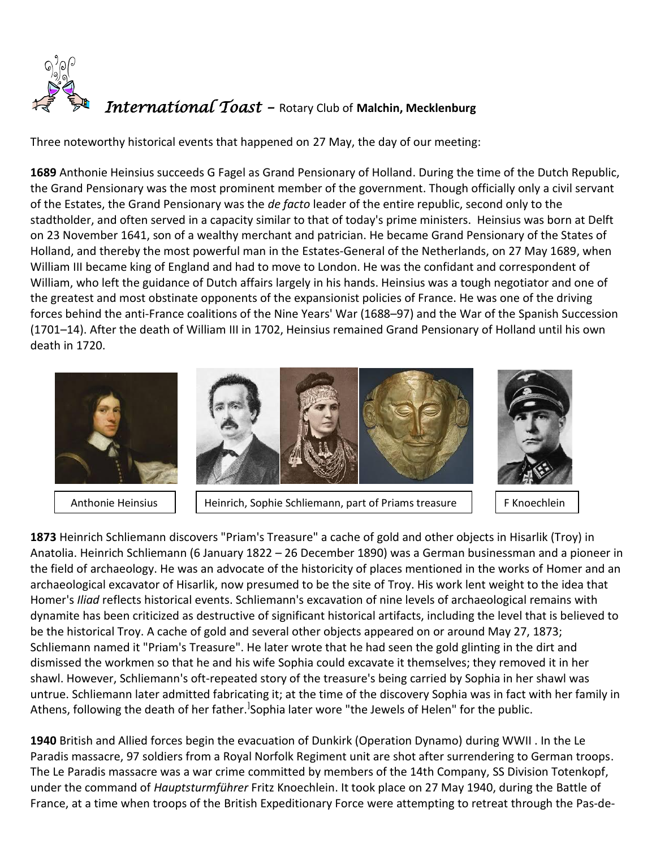

Three noteworthy historical events that happened on 27 May, the day of our meeting:

**[1689](https://www.onthisday.com/events/date/1689)** Anthonie Heinsius succeeds G Fagel as Grand Pensionary of Holland. During the time of the Dutch Republic, the Grand Pensionary was the most prominent member of the government. Though officially only a civil servant of the Estates, the Grand Pensionary was the *de facto* leader of the entire republic, second only to the [stadtholder,](https://en.wikipedia.org/wiki/Stadtholder) and often served in a capacity similar to that of today's prime ministers. Heinsius was born at Delft on 23 November 1641, son of a wealthy merchant and patrician. He became Grand Pensionary of the States of Holland, and thereby the most powerful man in the [Estates-General of the Netherlands,](https://en.wikipedia.org/wiki/Estates-General_of_the_Netherlands) on 27 May 1689, when William III became king of England and had to move to London. He was the confidant and correspondent of William, who left the guidance of Dutch affairs largely in his hands. Heinsius was a tough negotiator and one of the greatest and most obstinate opponents of the expansionist policies of France. He was one of the driving forces behind the anti-France coalitions of the [Nine Years' War](https://en.wikipedia.org/wiki/Nine_Years%27_War) (1688–97) and the [War of the Spanish Succession](https://en.wikipedia.org/wiki/War_of_the_Spanish_Succession) (1701–14). After the death of William III in 1702, Heinsius remained Grand Pensionary of Holland until his own death in 1720.



[1873](https://www.onthisday.com/events/date/1873) [Heinrich Schliemann](https://www.onthisday.com/people/heinrich-schliemann) discovers "Priam's Treasure" a cache of gold and other objects in Hisarlik (Troy) in Anatolia. Heinrich Schliemann (6 January 1822 – 26 December 1890) was a [German](https://en.wikipedia.org/wiki/Germany) businessman and a pioneer in the field of [archaeology.](https://en.wikipedia.org/wiki/Archaeology) He was an [advocate](https://en.wikipedia.org/wiki/Advocate) of the historicity of places mentioned in the works of [Homer](https://en.wikipedia.org/wiki/Homer) and an archaeological excavator of [Hisarlik,](https://en.wikipedia.org/wiki/Hisarlik) now presumed to be the site of [Troy.](https://en.wikipedia.org/wiki/Troy) His work lent weight to the idea that [Homer'](https://en.wikipedia.org/wiki/Homer)s *[Iliad](https://en.wikipedia.org/wiki/Iliad)* reflects [historical events.](https://en.wikipedia.org/wiki/Historicity_of_the_Iliad) Schliemann's excavation of nine levels of archaeological remains with dynamite has been criticized as destructive of significant historical artifacts, including the level that is believed to be the historical Troy. A cache of gold and several other objects appeared on or around May 27, 1873; Schliemann named it ["Priam's Treasure"](https://en.wikipedia.org/wiki/Priam%27s_Treasure). He later wrote that he had seen the gold glinting in the dirt and dismissed the workmen so that he and his wife Sophia could excavate it themselves; they removed it in her shawl. However, Schliemann's oft-repeated story of the treasure's being carried by Sophia in her shawl was untrue. Schliemann later admitted fabricating it; at the time of the discovery Sophia was in fact with her family in Athens, following the death of her father.<sup>]</sup>[S](https://en.wikipedia.org/wiki/Heinrich_Schliemann#cite_note-26)ophia later wore "the Jewels of Helen" for the public.

 $K_{\rm{N}}$  Known  $K_{\rm{N}}$ 

**[1940](https://www.onthisday.com/events/date/1940)** British and Allied forces begin the evacuation of Dunkirk (Operation Dynamo) during WWII . In the Le Paradis massacre, 97 soldiers from a Royal Norfolk Regiment unit are shot after surrendering to German troops. The Le Paradis massacre was a [war crime](https://en.wikipedia.org/wiki/War_crime) committed by members of the 14th Company, [SS Division Totenkopf,](https://en.wikipedia.org/wiki/3rd_SS_Panzer_Division_Totenkopf) under the command of *[Hauptsturmführer](https://en.wikipedia.org/wiki/Hauptsturmf%C3%BChrer)* [Fritz Knoechlein.](https://en.wikipedia.org/wiki/Fritz_Knoechlein) It took place on 27 May 1940, during the [Battle of](https://en.wikipedia.org/wiki/Battle_of_France)  [France,](https://en.wikipedia.org/wiki/Battle_of_France) at a time when troops of the [British Expeditionary Force](https://en.wikipedia.org/wiki/British_Expeditionary_Force_(World_War_II)) were attempting to retreat through the [Pas-de-](https://en.wikipedia.org/wiki/Pas-de-Calais)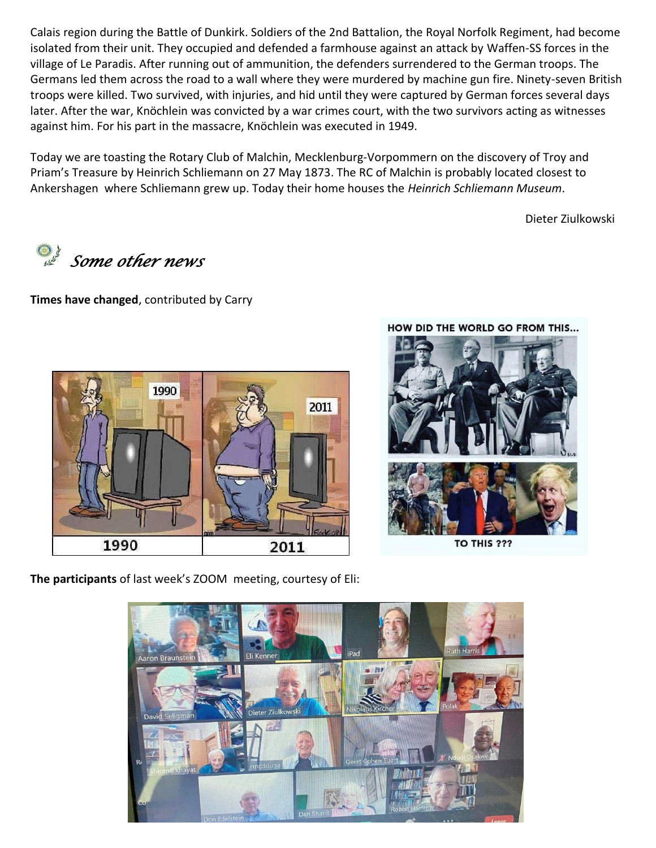Calais region during the [Battle of Dunkirk.](https://en.wikipedia.org/wiki/Battle_of_Dunkirk) Soldiers of the 2nd Battalion, the [Royal Norfolk Regiment,](https://en.wikipedia.org/wiki/Royal_Norfolk_Regiment) had become isolated from their unit. They occupied and defended a farmhouse against an attack by [Waffen-SS](https://en.wikipedia.org/wiki/Waffen-SS) forces in the village of [Le Paradis.](https://en.wikipedia.org/wiki/Le_Paradis) After running out of ammunition, the defenders surrendered to the German troops. The Germans led them across the road to a wall where they were murdered by machine gun fire. Ninety-seven British troops were killed. Two survived, with injuries, and hid until they were captured by German forces several days later. After the war, Knöchlein was convicted by a war crimes court, with the two survivors acting as witnesses against him. For his part in the massacre, Knöchlein was executed in 1949.

Today we are toasting the Rotary Club of Malchin, Mecklenburg-Vorpommern on the discovery of Troy and Priam's Treasure by Heinrich Schliemann on 27 May 1873. The RC of Malchin is probably located closest to [Ankershagen](https://en.wikipedia.org/wiki/Ankershagen) where Schliemann grew up. Today their home houses the *Heinrich Schliemann Museum*.

Dieter Ziulkowski

*Some other news* 

**Times have changed**, contributed by Carry





TO THIS ???

**The participants** of last week's ZOOM meeting, courtesy of Eli:

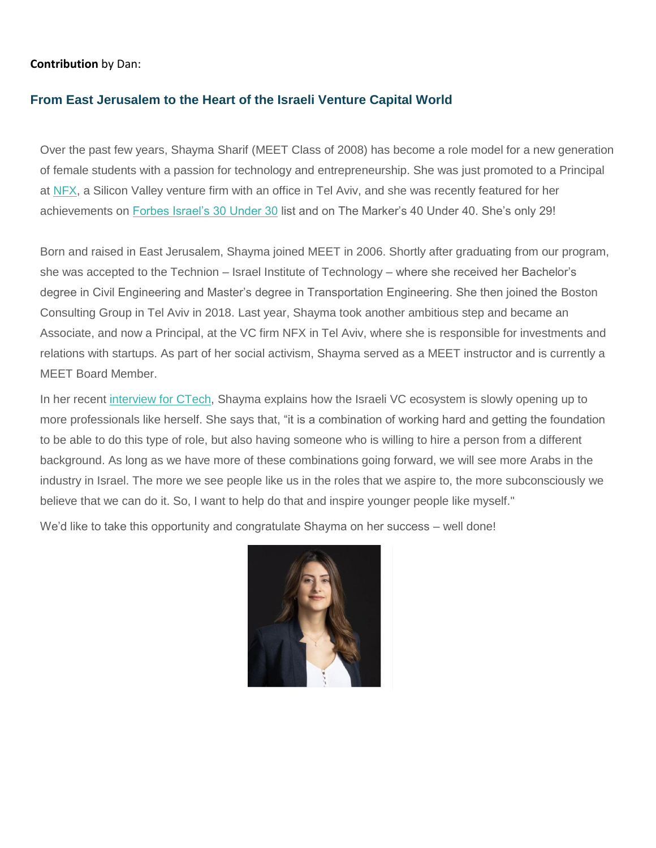### **Contribution** by Dan:

### **From East Jerusalem to the Heart of the Israeli Venture Capital World**

Over the past few years, Shayma Sharif (MEET Class of 2008) has become a role model for a new generation of female students with a passion for technology and entrepreneurship. She was just promoted to a Principal at [NFX,](https://mit.us6.list-manage.com/track/click?u=ff144d87c3d03dd1eefb5eac5&id=ce8255e4f9&e=f0e9f01457) a Silicon Valley venture firm with an office in Tel Aviv, and she was recently featured for her achievements on [Forbes Israel's 30 Under 30](https://mit.us6.list-manage.com/track/click?u=ff144d87c3d03dd1eefb5eac5&id=cfbb619940&e=f0e9f01457) list and on The Marker's 40 Under 40. She's only 29!

Born and raised in East Jerusalem, Shayma joined MEET in 2006. Shortly after graduating from our program, she was accepted to the Technion – Israel Institute of Technology – where she received her Bachelor's degree in Civil Engineering and Master's degree in Transportation Engineering. She then joined the Boston Consulting Group in Tel Aviv in 2018. Last year, Shayma took another ambitious step and became an Associate, and now a Principal, at the VC firm NFX in Tel Aviv, where she is responsible for investments and relations with startups. As part of her social activism, Shayma served as a MEET instructor and is currently a MEET Board Member.

In her recent [interview for CTech,](https://mit.us6.list-manage.com/track/click?u=ff144d87c3d03dd1eefb5eac5&id=b4f508e07d&e=f0e9f01457) Shayma explains how the Israeli VC ecosystem is slowly opening up to more professionals like herself. She says that, "it is a combination of working hard and getting the foundation to be able to do this type of role, but also having someone who is willing to hire a person from a different background. As long as we have more of these combinations going forward, we will see more Arabs in the industry in Israel. The more we see people like us in the roles that we aspire to, the more subconsciously we believe that we can do it. So, I want to help do that and inspire younger people like myself."

We'd like to take this opportunity and congratulate Shayma on her success – well done!